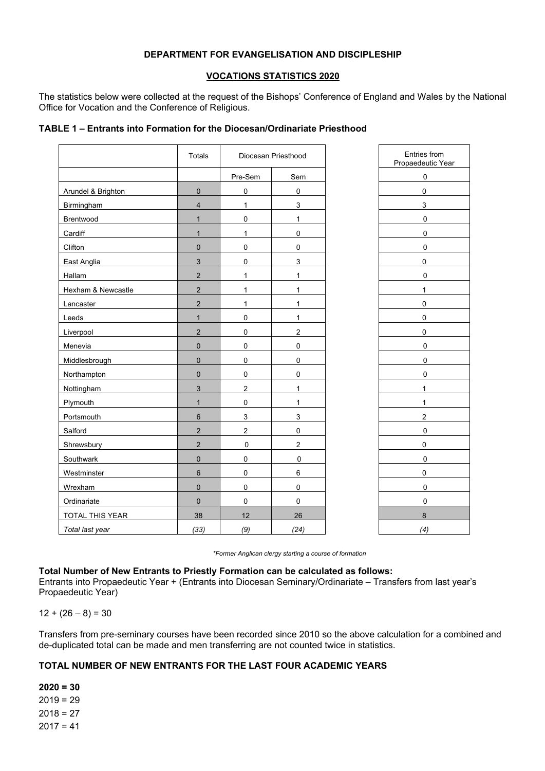## **DEPARTMENT FOR EVANGELISATION AND DISCIPLESHIP**

#### **VOCATIONS STATISTICS 2020**

The statistics below were collected at the request of the Bishops' Conference of England and Wales by the National Office for Vocation and the Conference of Religious.

|                    | Totals                  |                           | Diocesan Priesthood | Entries<br>Propaedeu |
|--------------------|-------------------------|---------------------------|---------------------|----------------------|
|                    |                         | Pre-Sem                   | Sem                 | $\pmb{0}$            |
| Arundel & Brighton | $\mathbf 0$             | $\pmb{0}$                 | $\pmb{0}$           | 0                    |
| Birmingham         | $\overline{\mathbf{4}}$ | $\mathbf{1}$              | $\mathbf{3}$        | 3                    |
| Brentwood          | $\mathbf{1}$            | $\pmb{0}$                 | 1                   | 0                    |
| Cardiff            | $\mathbf{1}$            | $\mathbf{1}$              | $\pmb{0}$           | $\pmb{0}$            |
| Clifton            | $\pmb{0}$               | $\pmb{0}$                 | $\pmb{0}$           | $\pmb{0}$            |
| East Anglia        | $\mathbf{3}$            | $\pmb{0}$                 | 3                   | 0                    |
| Hallam             | $\mathbf 2$             | $\mathbf{1}$              | $\mathbf{1}$        | $\pmb{0}$            |
| Hexham & Newcastle | $\overline{2}$          | $\mathbf{1}$              | $\mathbf{1}$        | $\mathbf{1}$         |
| Lancaster          | $\overline{2}$          | $\mathbf{1}$              | 1                   | $\pmb{0}$            |
| Leeds              | $\mathbf{1}$            | $\pmb{0}$                 | 1                   | 0                    |
| Liverpool          | $\sqrt{2}$              | $\boldsymbol{0}$          | $\overline{2}$      | 0                    |
| Menevia            | $\pmb{0}$               | $\pmb{0}$                 | $\pmb{0}$           | $\mathbf 0$          |
| Middlesbrough      | $\pmb{0}$               | $\pmb{0}$                 | $\pmb{0}$           | $\pmb{0}$            |
| Northampton        | $\pmb{0}$               | $\pmb{0}$                 | $\pmb{0}$           | 0                    |
| Nottingham         | $\mathfrak{S}$          | $\boldsymbol{2}$          | 1                   | $\mathbf{1}$         |
| Plymouth           | $\mathbf{1}$            | $\pmb{0}$                 | 1                   | $\mathbf{1}$         |
| Portsmouth         | $\,6\,$                 | $\ensuremath{\mathsf{3}}$ | $\mathsf 3$         | $\boldsymbol{2}$     |
| Salford            | $\sqrt{2}$              | $\mathbf 2$               | $\pmb{0}$           | $\pmb{0}$            |
| Shrewsbury         | $\mathbf 2$             | $\pmb{0}$                 | $\boldsymbol{2}$    | 0                    |
| Southwark          | $\mathbf 0$             | $\mathbf 0$               | $\mathbf 0$         | $\pmb{0}$            |
| Westminster        | $\,6\,$                 | $\pmb{0}$                 | $\,6\,$             | 0                    |
| Wrexham            | $\pmb{0}$               | $\pmb{0}$                 | $\pmb{0}$           | $\pmb{0}$            |
| Ordinariate        | $\mathbf 0$             | $\mathbf 0$               | $\mathbf 0$         | $\pmb{0}$            |
| TOTAL THIS YEAR    | 38                      | 12                        | 26                  | $\bf 8$              |
| Total last year    | (33)                    | (9)                       | (24)                | (4)                  |

#### **TABLE 1 – Entrants into Formation for the Diocesan/Ordinariate Priesthood**

| Propaedeutic Year       |
|-------------------------|
| $\overline{0}$          |
| $\overline{0}$          |
| 3 <sup>1</sup>          |
| 0                       |
| $\overline{0}$          |
| 0                       |
| $\overline{0}$          |
| $\overline{0}$          |
| 1                       |
| $\overline{0}$          |
| 0                       |
| $\overline{0}$          |
| 0                       |
| 0                       |
| $\overline{0}$          |
| $\overline{\mathbf{1}}$ |
| 1                       |
| $\overline{2}$          |
| $\overline{0}$          |
| $\overline{0}$          |
| $\overline{0}$          |
| $\overline{0}$          |
| 0                       |
| 0                       |
| 8                       |
| (4)                     |

Entries from

*\*Former Anglican clergy starting a course of formation*

#### **Total Number of New Entrants to Priestly Formation can be calculated as follows:**

Entrants into Propaedeutic Year + (Entrants into Diocesan Seminary/Ordinariate – Transfers from last year's Propaedeutic Year)

 $12 + (26 - 8) = 30$ 

Transfers from pre-seminary courses have been recorded since 2010 so the above calculation for a combined and de-duplicated total can be made and men transferring are not counted twice in statistics.

### **TOTAL NUMBER OF NEW ENTRANTS FOR THE LAST FOUR ACADEMIC YEARS**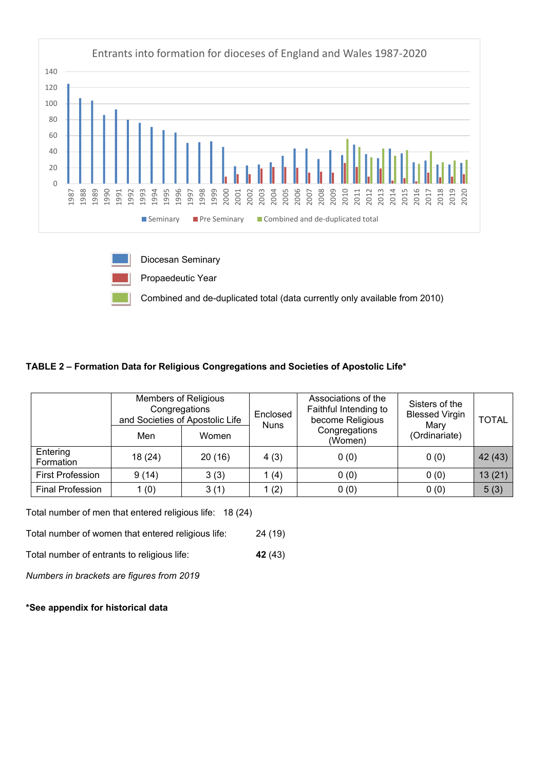

## **TABLE 2 – Formation Data for Religious Congregations and Societies of Apostolic Life\***

|                         | <b>Members of Religious</b><br>Congregations<br>and Societies of Apostolic Life |        | Associations of the<br>Faithful Intending to<br>Enclosed<br>become Religious<br><b>Nuns</b> |                          | Sisters of the<br><b>Blessed Virgin</b><br>Mary | <b>TOTAL</b> |
|-------------------------|---------------------------------------------------------------------------------|--------|---------------------------------------------------------------------------------------------|--------------------------|-------------------------------------------------|--------------|
|                         | Men                                                                             | Women  |                                                                                             | Congregations<br>(Women) | (Ordinariate)                                   |              |
| Entering<br>Formation   | 18(24)                                                                          | 20(16) | 4(3)                                                                                        | 0(0)                     | 0(0)                                            | 42 (43)      |
| <b>First Profession</b> | 9(14)                                                                           | 3(3)   | 1(4)                                                                                        | 0(0)                     | 0(0)                                            | 13(21)       |
| <b>Final Profession</b> | 1(0)                                                                            | 3(1)   | 1(2)                                                                                        | 0(0)                     | 0(0)                                            | 5(3)         |

Total number of men that entered religious life: 18 (24)

Total number of women that entered religious life: 24 (19)

Total number of entrants to religious life: **42** (43)

*Numbers in brackets are figures from 2019*

### **\*See appendix for historical data**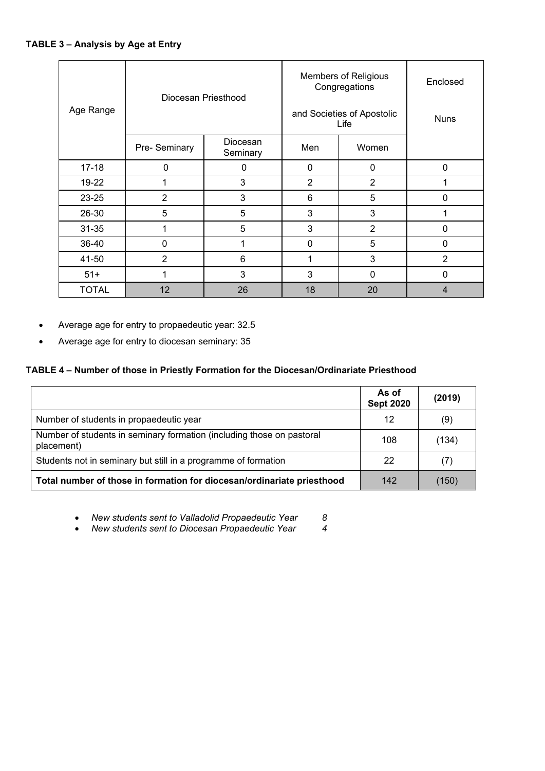| Age Range    | Diocesan Priesthood |                      | <b>Members of Religious</b><br>Congregations<br>and Societies of Apostolic<br>Life | Enclosed<br><b>Nuns</b> |                |
|--------------|---------------------|----------------------|------------------------------------------------------------------------------------|-------------------------|----------------|
|              | Pre- Seminary       | Diocesan<br>Seminary | Men                                                                                | Women                   |                |
| $17 - 18$    | $\mathbf{0}$        | $\mathbf{0}$         | 0                                                                                  | 0                       | $\mathbf{0}$   |
| 19-22        | 1                   | 3                    | 2                                                                                  | $\overline{2}$          |                |
| 23-25        | $\overline{2}$      | 3                    | 6                                                                                  | 5                       | $\mathbf 0$    |
| 26-30        | 5                   | 5                    | 3                                                                                  | 3                       |                |
| $31 - 35$    | 1                   | 5                    | 3                                                                                  | $\overline{2}$          | $\mathbf 0$    |
| 36-40        | $\mathbf 0$         |                      | $\mathbf 0$                                                                        | $5\phantom{.0}$         | $\mathbf{0}$   |
| 41-50        | $\overline{2}$      | 6                    | 1                                                                                  | 3                       | $\overline{2}$ |
| $51+$        | 3<br>1              |                      | 3                                                                                  | $\mathbf{0}$            | $\mathbf 0$    |
| <b>TOTAL</b> | 12                  | 26                   | 18                                                                                 | 20                      | $\overline{4}$ |

- Average age for entry to propaedeutic year: 32.5
- Average age for entry to diocesan seminary: 35

# **TABLE 4 – Number of those in Priestly Formation for the Diocesan/Ordinariate Priesthood**

|                                                                                     | As of<br><b>Sept 2020</b> | (2019) |
|-------------------------------------------------------------------------------------|---------------------------|--------|
| Number of students in propaedeutic year                                             | 12                        | (9)    |
| Number of students in seminary formation (including those on pastoral<br>placement) | 108                       | (134)  |
| Students not in seminary but still in a programme of formation                      | 22                        | (7)    |
| Total number of those in formation for diocesan/ordinariate priesthood              | 142                       | (150)  |

- *New students sent to Valladolid Propaedeutic Year 8*
- *New students sent to Diocesan Propaedeutic Year 4*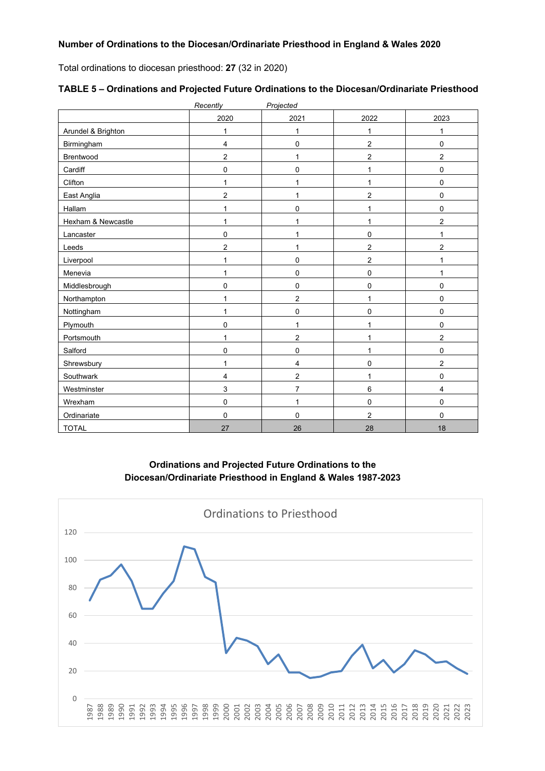Total ordinations to diocesan priesthood: **27** (32 in 2020)

|                    | Recently                | Projected      |                |                |
|--------------------|-------------------------|----------------|----------------|----------------|
|                    | 2020                    | 2021           | 2022           | 2023           |
| Arundel & Brighton | 1                       | $\mathbf{1}$   | 1              | 1              |
| Birmingham         | $\overline{\mathbf{4}}$ | 0              | $\overline{2}$ | 0              |
| Brentwood          | $\overline{2}$          | 1              | 2              | $\overline{c}$ |
| Cardiff            | 0                       | 0              | 1              | 0              |
| Clifton            | 1                       | 1              | 1              | 0              |
| East Anglia        | 2                       | 1              | 2              | 0              |
| Hallam             | 1                       | 0              | 1              | 0              |
| Hexham & Newcastle | 1                       | 1              | 1              | $\overline{c}$ |
| Lancaster          | 0                       | 1              | 0              | $\mathbf{1}$   |
| Leeds              | 2                       | $\mathbf 1$    | 2              | $\overline{c}$ |
| Liverpool          | 1                       | 0              | 2              | $\mathbf{1}$   |
| Menevia            | 1                       | 0              | 0              | $\mathbf{1}$   |
| Middlesbrough      | 0                       | 0              | $\mathbf 0$    | 0              |
| Northampton        | 1                       | $\overline{2}$ | 1              | 0              |
| Nottingham         | 1                       | 0              | 0              | 0              |
| Plymouth           | 0                       | 1              | 1              | 0              |
| Portsmouth         | 1                       | 2              | 1              | $\mathbf 2$    |
| Salford            | 0                       | 0              | 1              | 0              |
| Shrewsbury         | 1                       | 4              | 0              | 2              |
| Southwark          | 4                       | 2              | 1              | 0              |
| Westminster        | 3                       | $\overline{7}$ | 6              | 4              |
| Wrexham            | 0                       | 1              | 0              | 0              |
| Ordinariate        | 0                       | 0              | $\overline{2}$ | 0              |
| <b>TOTAL</b>       | 27                      | 26             | 28             | 18             |

| TABLE 5 - Ordinations and Projected Future Ordinations to the Diocesan/Ordinariate Priesthood |
|-----------------------------------------------------------------------------------------------|
|-----------------------------------------------------------------------------------------------|

**Ordinations and Projected Future Ordinations to the Diocesan/Ordinariate Priesthood in England & Wales 1987-2023**